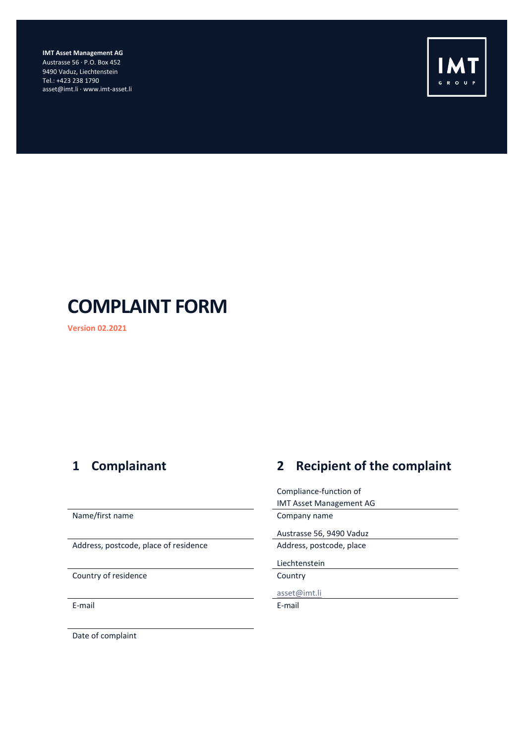**IMT Asset Management AG** Austrasse 56 · P.O. Box 452 9490 Vaduz, Liechtenstein Tel.: +423 238 1790 asset@imt.li · www.imt-asset.li



# **COMPLAINT FORM**

**Version 02.2021**

Address, postcode, place of residence Address, postcode, place

Country of residence Country Country

E-mail E-mail

# **1 Complainant 2 Recipient of the complaint**

Compliance-function of IMT Asset Management AG Name/first name **Company name** Austrasse 56, 9490 Vaduz Liechtenstein [asset@imt.li](mailto:asset@imt.li)

Date of complaint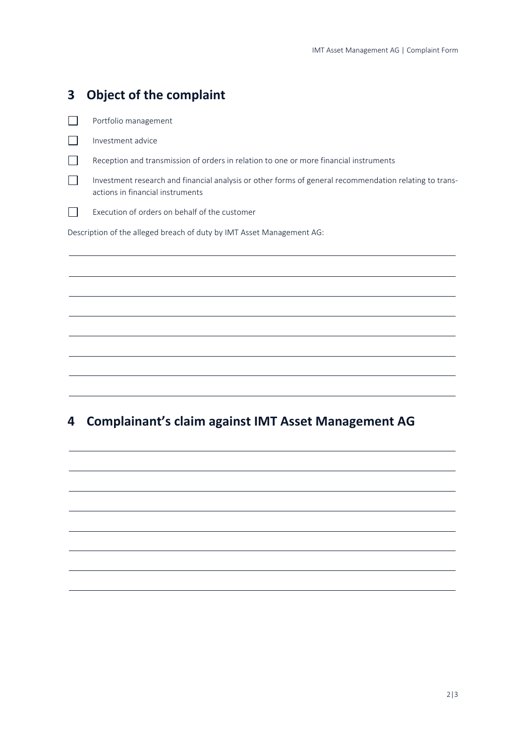| 3 | <b>Object of the complaint</b>                                                                                                             |
|---|--------------------------------------------------------------------------------------------------------------------------------------------|
|   | Portfolio management                                                                                                                       |
|   | Investment advice                                                                                                                          |
|   | Reception and transmission of orders in relation to one or more financial instruments                                                      |
|   | Investment research and financial analysis or other forms of general recommendation relating to trans-<br>actions in financial instruments |
|   | Execution of orders on behalf of the customer                                                                                              |
|   | Description of the alleged breach of duty by IMT Asset Management AG:                                                                      |
|   |                                                                                                                                            |
|   |                                                                                                                                            |
|   |                                                                                                                                            |
|   |                                                                                                                                            |
|   |                                                                                                                                            |

# **4 Complainant's claim against IMT Asset Management AG**